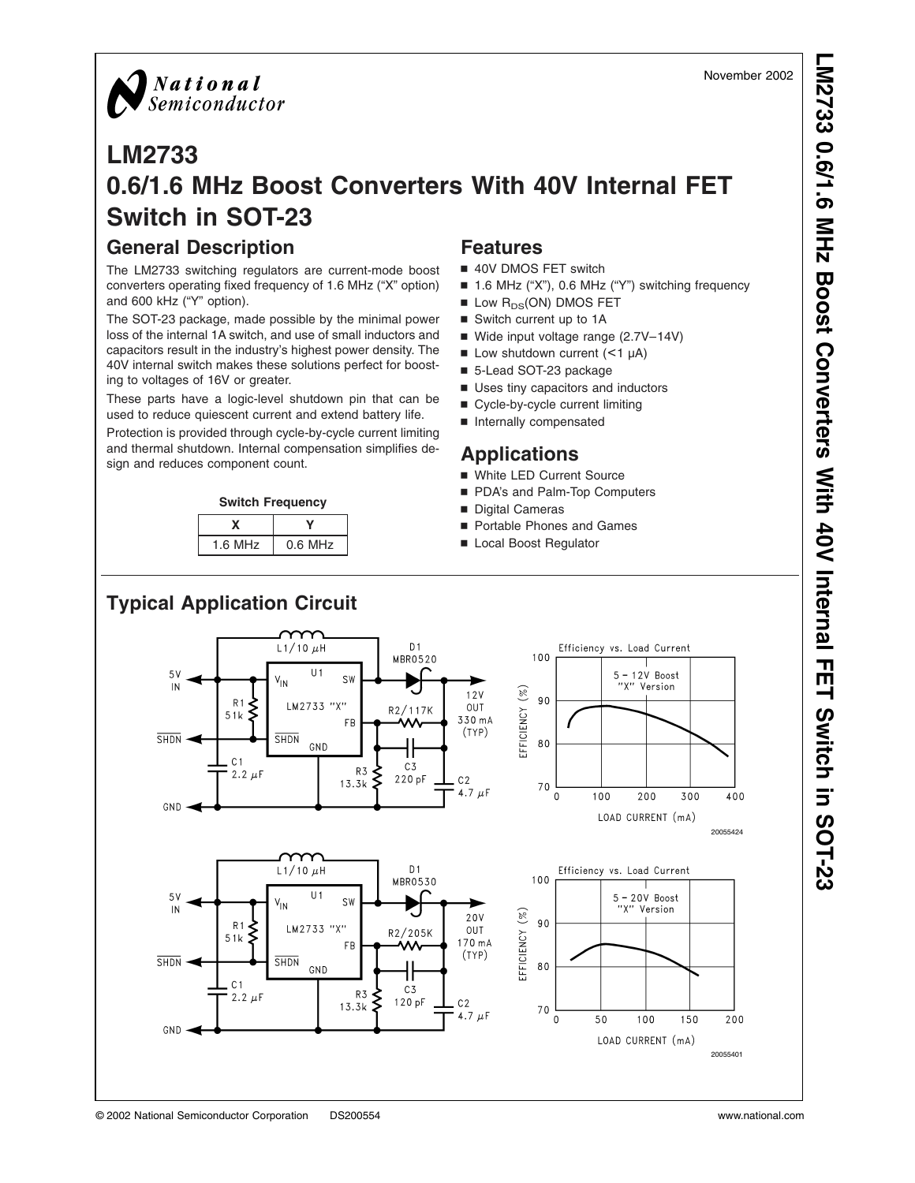

## **LM2733 0.6/1.6 MHz Boost Converters With 40V Internal FET Switch in SOT-23**

## **General Description**

The LM2733 switching regulators are current-mode boost converters operating fixed frequency of 1.6 MHz ("X" option) and 600 kHz ("Y" option).

The SOT-23 package, made possible by the minimal power loss of the internal 1A switch, and use of small inductors and capacitors result in the industry's highest power density. The 40V internal switch makes these solutions perfect for boosting to voltages of 16V or greater.

These parts have a logic-level shutdown pin that can be used to reduce quiescent current and extend battery life.

Protection is provided through cycle-by-cycle current limiting and thermal shutdown. Internal compensation simplifies design and reduces component count.





## **Features**

- 40V DMOS FET switch
- 1.6 MHz ("X"), 0.6 MHz ("Y") switching frequency
- $\blacksquare$  Low  $R_{DS}(ON)$  DMOS FET
- Switch current up to 1A
- Wide input voltage range (2.7V-14V)
- $\blacksquare$  Low shutdown current (<1 µA)
- 5-Lead SOT-23 package
- **D** Uses tiny capacitors and inductors
- Cycle-by-cycle current limiting
- Internally compensated

## **Applications**

- White LED Current Source
- PDA's and Palm-Top Computers
- Digital Cameras
- Portable Phones and Games
- Local Boost Regulator

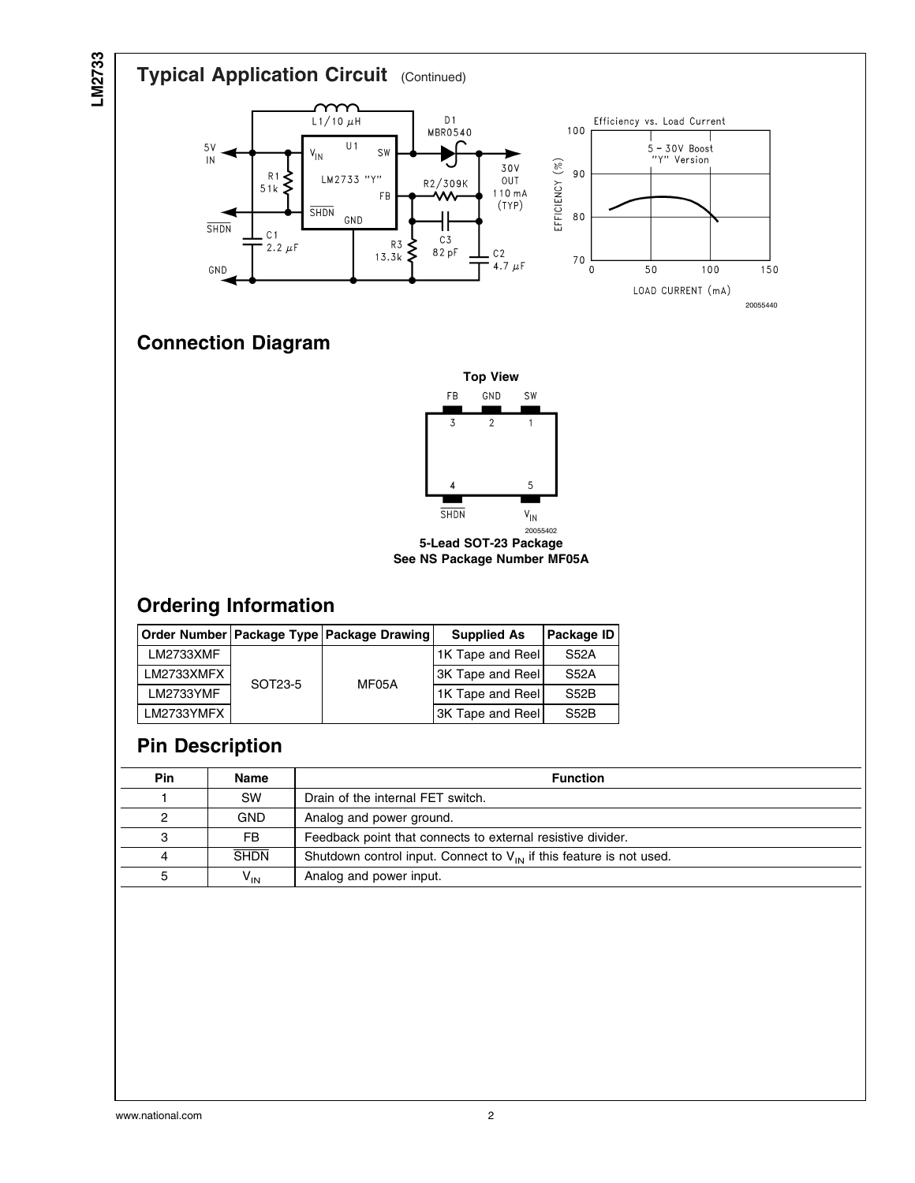

## **Pin Description**

| Pin | Name        | <b>Function</b>                                                          |
|-----|-------------|--------------------------------------------------------------------------|
|     | <b>SW</b>   | Drain of the internal FET switch.                                        |
|     | <b>GND</b>  | Analog and power ground.                                                 |
| 3   | <b>FB</b>   | Feedback point that connects to external resistive divider.              |
|     | <b>SHDN</b> | Shutdown control input. Connect to $V_{IN}$ if this feature is not used. |
|     | $V_{IN}$    | Analog and power input.                                                  |

LM2733YMF  $\overline{S}$  UNIVOR 1K Tape and Reel S52B LM2733YMFX 3K Tape and Reel S52B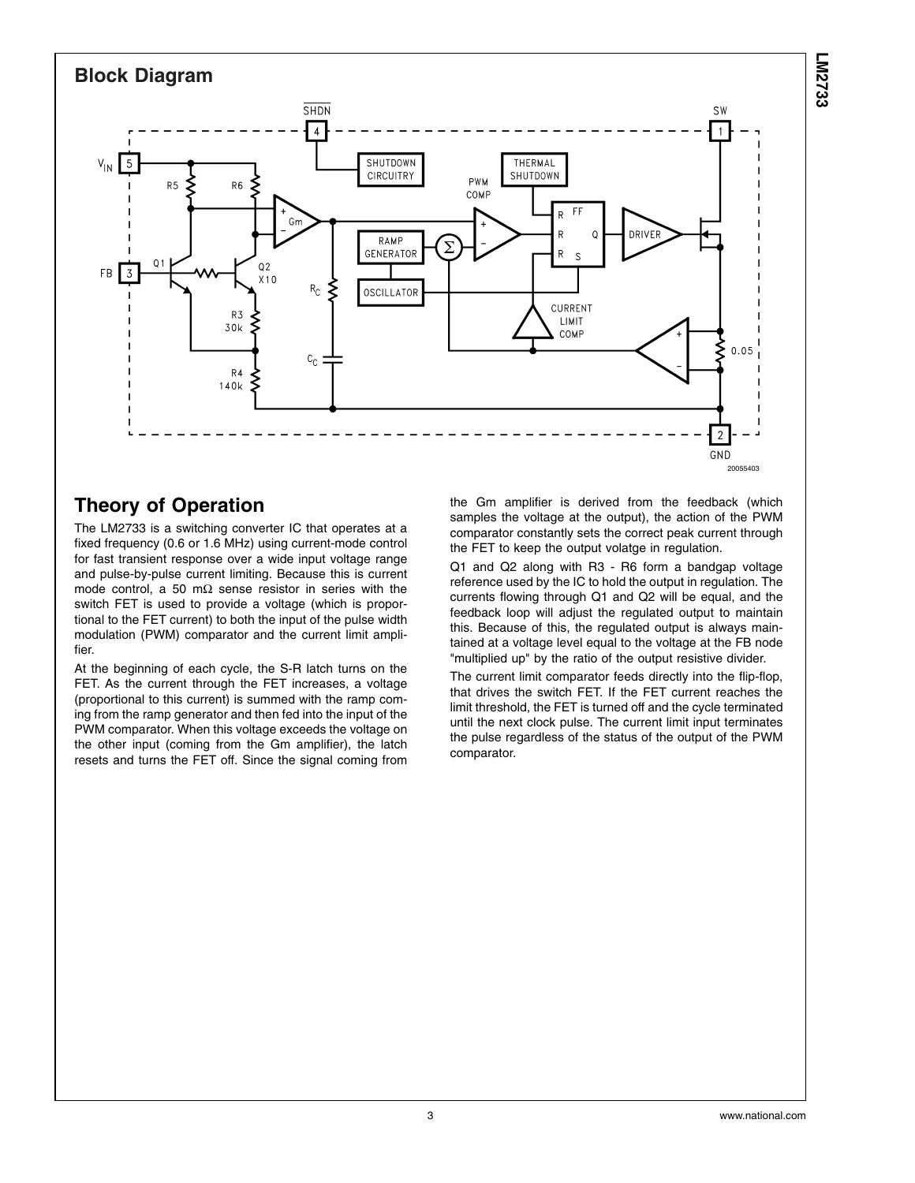

## **Theory of Operation**

The LM2733 is a switching converter IC that operates at a fixed frequency (0.6 or 1.6 MHz) using current-mode control for fast transient response over a wide input voltage range and pulse-by-pulse current limiting. Because this is current mode control, a 50 mΩ sense resistor in series with the switch FET is used to provide a voltage (which is proportional to the FET current) to both the input of the pulse width modulation (PWM) comparator and the current limit amplifier.

At the beginning of each cycle, the S-R latch turns on the FET. As the current through the FET increases, a voltage (proportional to this current) is summed with the ramp coming from the ramp generator and then fed into the input of the PWM comparator. When this voltage exceeds the voltage on the other input (coming from the Gm amplifier), the latch resets and turns the FET off. Since the signal coming from

the Gm amplifier is derived from the feedback (which samples the voltage at the output), the action of the PWM comparator constantly sets the correct peak current through the FET to keep the output volatge in regulation.

Q1 and Q2 along with R3 - R6 form a bandgap voltage reference used by the IC to hold the output in regulation. The currents flowing through Q1 and Q2 will be equal, and the feedback loop will adjust the regulated output to maintain this. Because of this, the regulated output is always maintained at a voltage level equal to the voltage at the FB node "multiplied up" by the ratio of the output resistive divider.

The current limit comparator feeds directly into the flip-flop, that drives the switch FET. If the FET current reaches the limit threshold, the FET is turned off and the cycle terminated until the next clock pulse. The current limit input terminates the pulse regardless of the status of the output of the PWM comparator.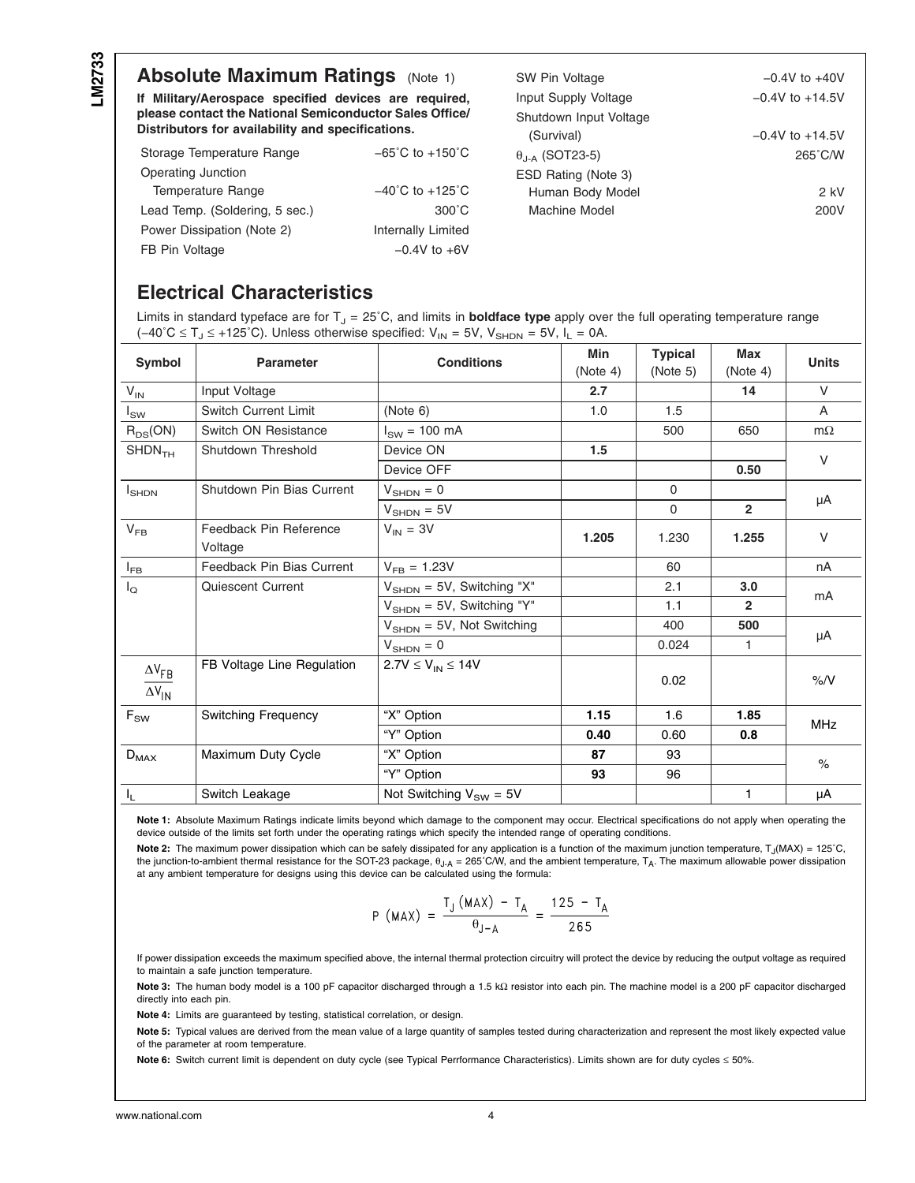## **Absolute Maximum Ratings** (Note 1)

**If Military/Aerospace specified devices are required, please contact the National Semiconductor Sales Office/ Distributors for availability and specifications.**

| Storage Temperature Range      | $-65^{\circ}$ C to $+150^{\circ}$ C |  |  |
|--------------------------------|-------------------------------------|--|--|
| Operating Junction             |                                     |  |  |
| Temperature Range              | $-40^{\circ}$ C to $+125^{\circ}$ C |  |  |
| Lead Temp. (Soldering, 5 sec.) | $300^{\circ}$ C                     |  |  |
| Power Dissipation (Note 2)     | <b>Internally Limited</b>           |  |  |
| FB Pin Voltage                 | $-0.4V$ to $+6V$                    |  |  |

| SW Pin Voltage              | $-0.4V$ to $+40V$   |  |  |  |
|-----------------------------|---------------------|--|--|--|
| Input Supply Voltage        | $-0.4V$ to $+14.5V$ |  |  |  |
| Shutdown Input Voltage      |                     |  |  |  |
| (Survival)                  | $-0.4V$ to $+14.5V$ |  |  |  |
| θ <sub>.Ι-Α</sub> (SOT23-5) | $265^{\circ}$ C/W   |  |  |  |
| ESD Rating (Note 3)         |                     |  |  |  |
| Human Body Model            | 2 kV                |  |  |  |
| Machine Model               | 200V                |  |  |  |
|                             |                     |  |  |  |

## **Electrical Characteristics**

Limits in standard typeface are for T<sub>J</sub> = 25°C, and limits in **boldface type** apply over the full operating temperature range (-40°C ≤ T<sub>J</sub> ≤ +125°C). Unless otherwise specified:  $V_{IN}$  = 5V, V<sub>SHDN</sub> = 5V, I<sub>L</sub> = 0A.

| Symbol                                    | <b>Parameter</b>                  | <b>Conditions</b>                      | Min<br>(Note 4) | <b>Typical</b><br>(Note 5) | Max<br>(Note 4) | <b>Units</b> |
|-------------------------------------------|-----------------------------------|----------------------------------------|-----------------|----------------------------|-----------------|--------------|
| $V_{IN}$                                  | Input Voltage                     |                                        | 2.7             |                            | 14              | $\vee$       |
| $I_{SW}$                                  | Switch Current Limit              | (Note 6)                               | 1.0             | 1.5                        |                 | A            |
| $R_{DS}(ON)$                              | Switch ON Resistance              | $I_{SW}$ = 100 mA                      |                 | 500                        | 650             | $m\Omega$    |
| SHDN <sub>TH</sub>                        | Shutdown Threshold                | Device ON                              | 1.5             |                            |                 | $\vee$       |
|                                           |                                   | Device OFF                             |                 |                            | 0.50            |              |
| $I_{\text{SHDN}}$                         | Shutdown Pin Bias Current         | $V_{\text{SHDN}} = 0$                  |                 | $\Omega$                   |                 | μA           |
|                                           |                                   | $V_{\text{SHDN}} = 5V$                 |                 | $\Omega$                   | $\overline{2}$  |              |
| $V_{FB}$                                  | Feedback Pin Reference<br>Voltage | $V_{IN} = 3V$                          | 1.205           | 1.230                      | 1.255           | V            |
| $I_{FB}$                                  | Feedback Pin Bias Current         | $V_{FB} = 1.23V$                       |                 | 60                         |                 | nA           |
| $I_{\mathsf{Q}}$                          | <b>Quiescent Current</b>          | $V_{\text{SHDN}} = 5V$ , Switching "X" |                 | 2.1                        | 3.0             | mA<br>μA     |
|                                           |                                   | $V_{\text{SHDN}} = 5V$ , Switching "Y" |                 | 1.1                        | $\overline{2}$  |              |
|                                           |                                   | $V_{\text{SHDN}} = 5V$ , Not Switching |                 | 400                        | 500             |              |
|                                           |                                   | $V_{\text{SHDN}} = 0$                  |                 | 0.024                      | 1               |              |
| $\Delta V_{FB}$<br>$\Delta V_{\text{IN}}$ | FB Voltage Line Regulation        | $2.7V \le V_{IN} \le 14V$              |                 | 0.02                       |                 | $\%N$        |
| $F_{SW}$                                  | <b>Switching Frequency</b>        | "X" Option                             | 1.15            | 1.6                        | 1.85            | <b>MHz</b>   |
|                                           |                                   | "Y" Option                             | 0.40            | 0.60                       | 0.8             |              |
| $D_{MAX}$                                 | Maximum Duty Cycle                | "X" Option                             | 87              | 93                         |                 | $\%$         |
|                                           |                                   | "Y" Option                             | 93              | 96                         |                 |              |
| $I_L$                                     | Switch Leakage                    | Not Switching $V_{SW} = 5V$            |                 |                            | 1               | μA           |

**Note 1:** Absolute Maximum Ratings indicate limits beyond which damage to the component may occur. Electrical specifications do not apply when operating the device outside of the limits set forth under the operating ratings which specify the intended range of operating conditions.

Note 2: The maximum power dissipation which can be safely dissipated for any application is a function of the maximum junction temperature, T<sub>J</sub>(MAX) = 125<sup>°</sup>C, the junction-to-ambient thermal resistance for the SOT-23 package,  $θ<sub>J-A</sub> = 265°C/W$ , and the ambient temperature,  $T_A$ . The maximum allowable power dissipation at any ambient temperature for designs using this device can be calculated using the formula:

$$
P (MAX) = \frac{T_J (MAX) - T_A}{\theta_{J-A}} = \frac{125 - T_A}{265}
$$

If power dissipation exceeds the maximum specified above, the internal thermal protection circuitry will protect the device by reducing the output voltage as required to maintain a safe junction temperature.

**Note 3:** The human body model is a 100 pF capacitor discharged through a 1.5 kΩ resistor into each pin. The machine model is a 200 pF capacitor discharged directly into each pin.

**Note 4:** Limits are guaranteed by testing, statistical correlation, or design.

**Note 5:** Typical values are derived from the mean value of a large quantity of samples tested during characterization and represent the most likely expected value of the parameter at room temperature.

Note 6: Switch current limit is dependent on duty cycle (see Typical Perrformance Characteristics). Limits shown are for duty cycles ≤ 50%.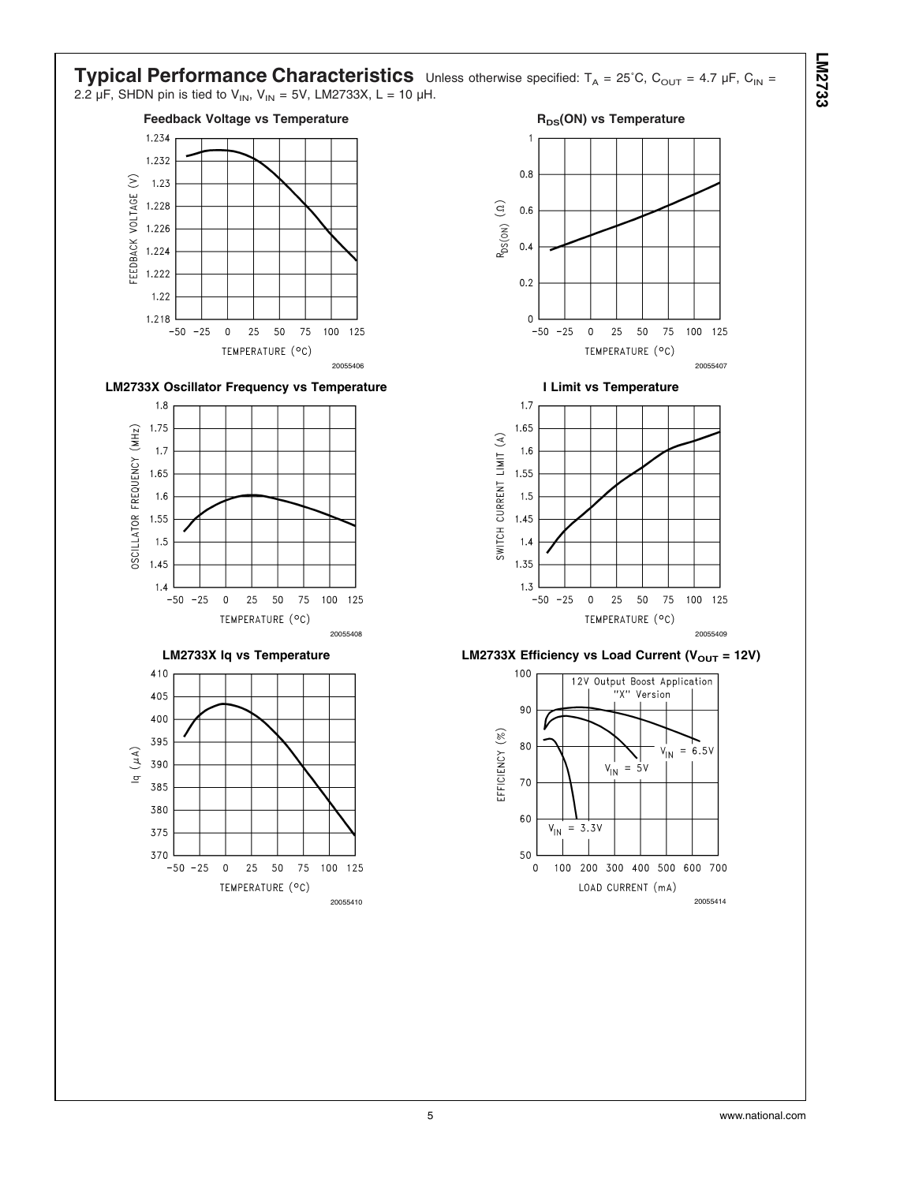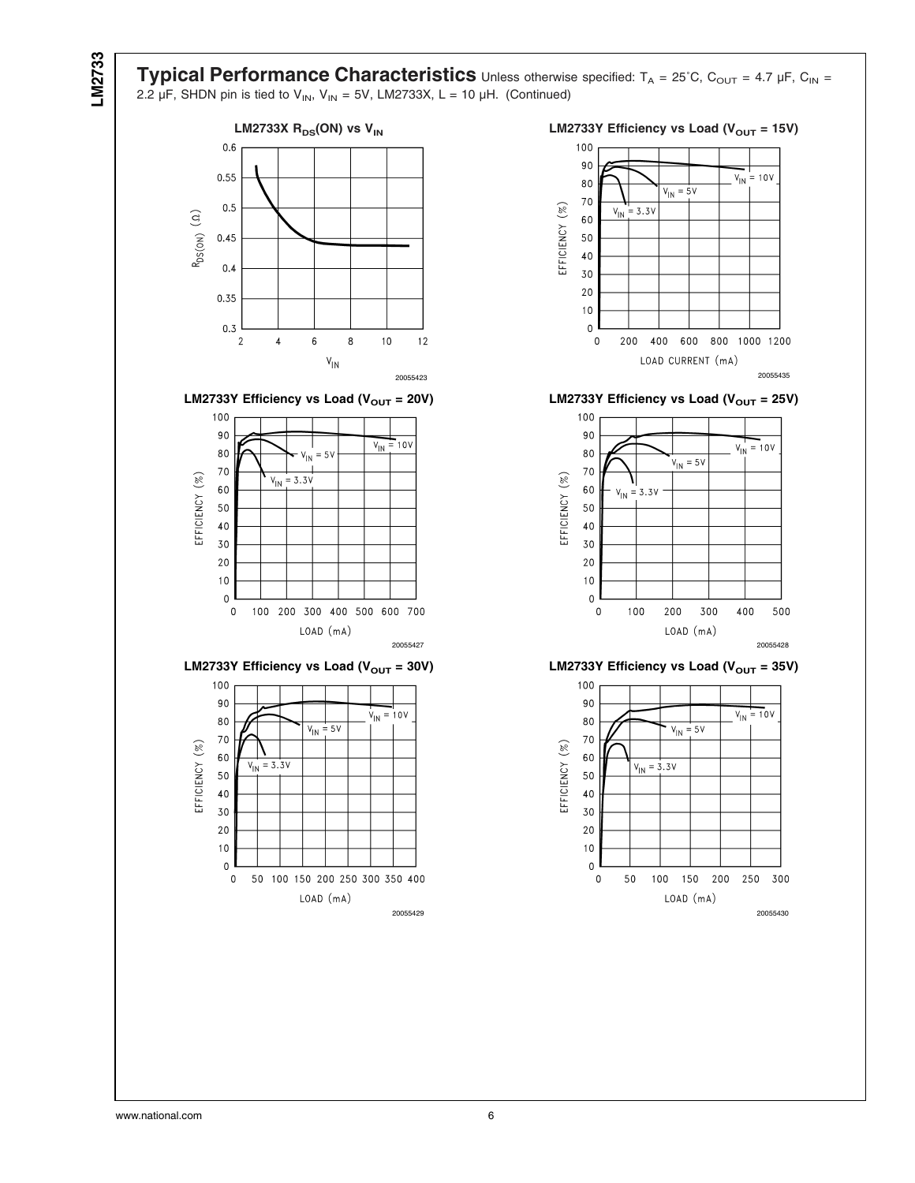**Typical Performance Characteristics** Unless otherwise specified: T<sub>A</sub> = 25°C, C<sub>OUT</sub> = 4.7 µF, C<sub>IN</sub> = 2.2  $\mu$ F, SHDN pin is tied to V<sub>IN</sub>, V<sub>IN</sub> = 5V, LM2733X, L = 10  $\mu$ H. (Continued)







**LM2733Y Efficiency vs Load (V<sub>OUT</sub> = 30V) LM2733Y Efficiency vs Load (V<sub>OUT</sub> = 35V)** 





**LM2733Y Efficiency vs Load (V<sub>OUT</sub> = 20V) LM2733Y Efficiency vs Load (V<sub>OUT</sub> = 25V)** 



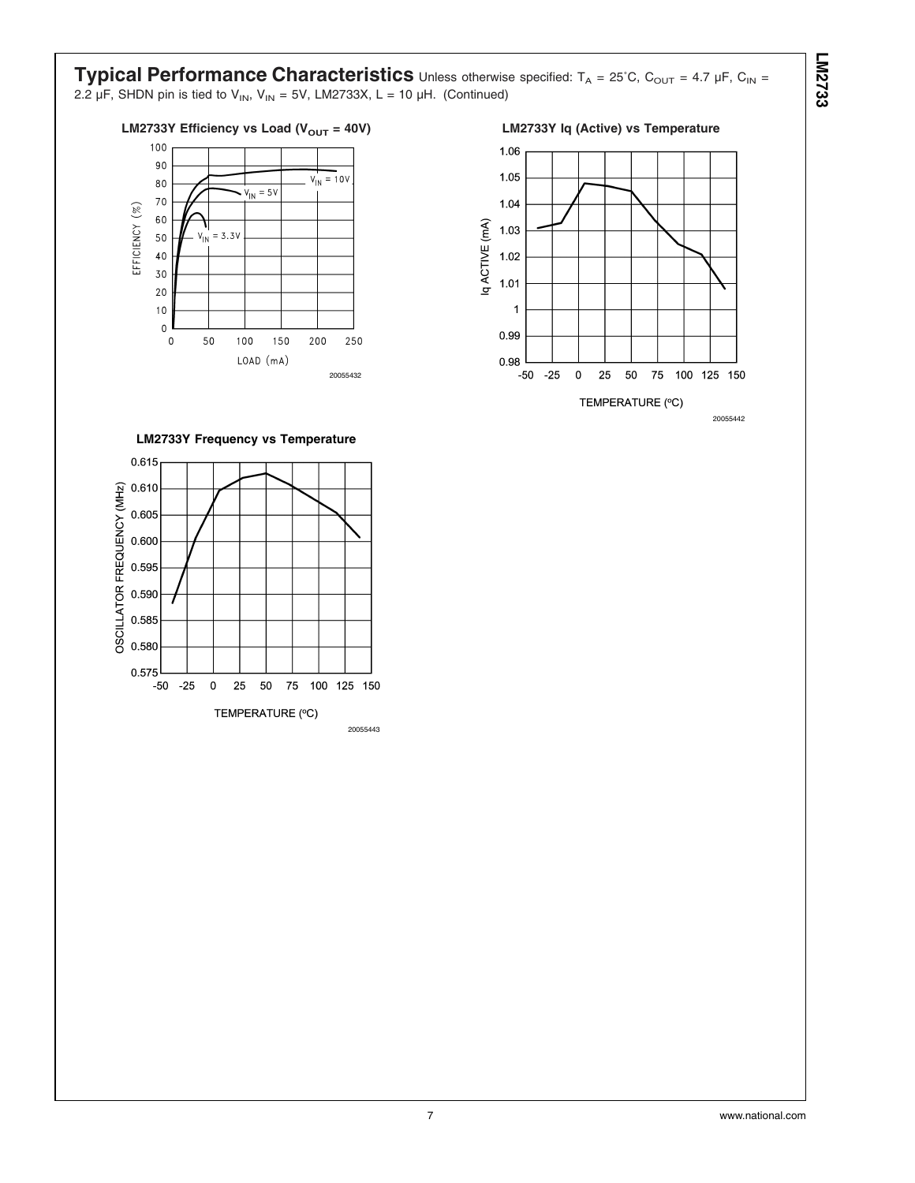**Typical Performance Characteristics** Unless otherwise specified: T<sub>A</sub> = 25°C, C<sub>OUT</sub> = 4.7 µF, C<sub>IN</sub> = 2.2  $\mu$ F, SHDN pin is tied to V<sub>IN</sub>, V<sub>IN</sub> = 5V, LM2733X, L = 10  $\mu$ H. (Continued)

## LM2733Y Efficiency vs Load (V<sub>OUT</sub> = 40V) LM2733Y Iq (Active) vs Temperature



1.06



20055442

**LM2733Y Frequency vs Temperature**



**LM2733**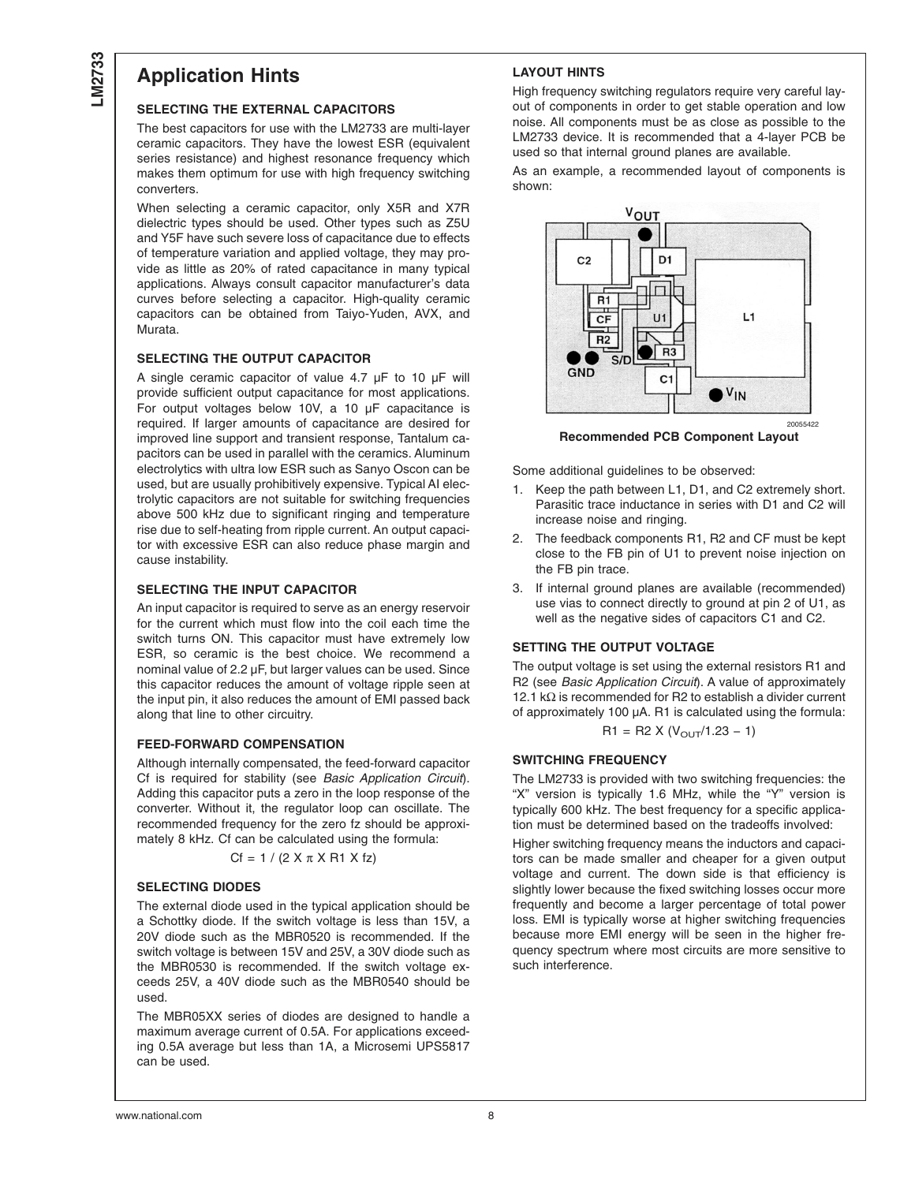## **Application Hints**

### **SELECTING THE EXTERNAL CAPACITORS**

The best capacitors for use with the LM2733 are multi-layer ceramic capacitors. They have the lowest ESR (equivalent series resistance) and highest resonance frequency which makes them optimum for use with high frequency switching converters.

When selecting a ceramic capacitor, only X5R and X7R dielectric types should be used. Other types such as Z5U and Y5F have such severe loss of capacitance due to effects of temperature variation and applied voltage, they may provide as little as 20% of rated capacitance in many typical applications. Always consult capacitor manufacturer's data curves before selecting a capacitor. High-quality ceramic capacitors can be obtained from Taiyo-Yuden, AVX, and Murata.

#### **SELECTING THE OUTPUT CAPACITOR**

A single ceramic capacitor of value 4.7 µF to 10 µF will provide sufficient output capacitance for most applications. For output voltages below 10V, a 10 µF capacitance is required. If larger amounts of capacitance are desired for improved line support and transient response, Tantalum capacitors can be used in parallel with the ceramics. Aluminum electrolytics with ultra low ESR such as Sanyo Oscon can be used, but are usually prohibitively expensive. Typical AI electrolytic capacitors are not suitable for switching frequencies above 500 kHz due to significant ringing and temperature rise due to self-heating from ripple current. An output capacitor with excessive ESR can also reduce phase margin and cause instability.

#### **SELECTING THE INPUT CAPACITOR**

An input capacitor is required to serve as an energy reservoir for the current which must flow into the coil each time the switch turns ON. This capacitor must have extremely low ESR, so ceramic is the best choice. We recommend a nominal value of 2.2 µF, but larger values can be used. Since this capacitor reduces the amount of voltage ripple seen at the input pin, it also reduces the amount of EMI passed back along that line to other circuitry.

### **FEED-FORWARD COMPENSATION**

Although internally compensated, the feed-forward capacitor Cf is required for stability (see *Basic Application Circuit*). Adding this capacitor puts a zero in the loop response of the converter. Without it, the regulator loop can oscillate. The recommended frequency for the zero fz should be approximately 8 kHz. Cf can be calculated using the formula:

 $Cf = 1 / (2 X \pi X R1 X fz)$ 

#### **SELECTING DIODES**

The external diode used in the typical application should be a Schottky diode. If the switch voltage is less than 15V, a 20V diode such as the MBR0520 is recommended. If the switch voltage is between 15V and 25V, a 30V diode such as the MBR0530 is recommended. If the switch voltage exceeds 25V, a 40V diode such as the MBR0540 should be used.

The MBR05XX series of diodes are designed to handle a maximum average current of 0.5A. For applications exceeding 0.5A average but less than 1A, a Microsemi UPS5817 can be used.

## **LAYOUT HINTS**

High frequency switching regulators require very careful layout of components in order to get stable operation and low noise. All components must be as close as possible to the LM2733 device. It is recommended that a 4-layer PCB be used so that internal ground planes are available.

As an example, a recommended layout of components is shown:



**Recommended PCB Component Layout**

Some additional guidelines to be observed:

- 1. Keep the path between L1, D1, and C2 extremely short. Parasitic trace inductance in series with D1 and C2 will increase noise and ringing.
- 2. The feedback components R1, R2 and CF must be kept close to the FB pin of U1 to prevent noise injection on the FB pin trace.
- 3. If internal ground planes are available (recommended) use vias to connect directly to ground at pin 2 of U1, as well as the negative sides of capacitors C1 and C2.

#### **SETTING THE OUTPUT VOLTAGE**

The output voltage is set using the external resistors R1 and R2 (see *Basic Application Circuit*). A value of approximately 12.1 kΩ is recommended for R2 to establish a divider current of approximately 100 µA. R1 is calculated using the formula:

$$
R1 = R2 \times (V_{\text{OUT}}/1.23 - 1)
$$

#### **SWITCHING FREQUENCY**

The LM2733 is provided with two switching frequencies: the "X" version is typically 1.6 MHz, while the "Y" version is typically 600 kHz. The best frequency for a specific application must be determined based on the tradeoffs involved:

Higher switching frequency means the inductors and capacitors can be made smaller and cheaper for a given output voltage and current. The down side is that efficiency is slightly lower because the fixed switching losses occur more frequently and become a larger percentage of total power loss. EMI is typically worse at higher switching frequencies because more EMI energy will be seen in the higher frequency spectrum where most circuits are more sensitive to such interference.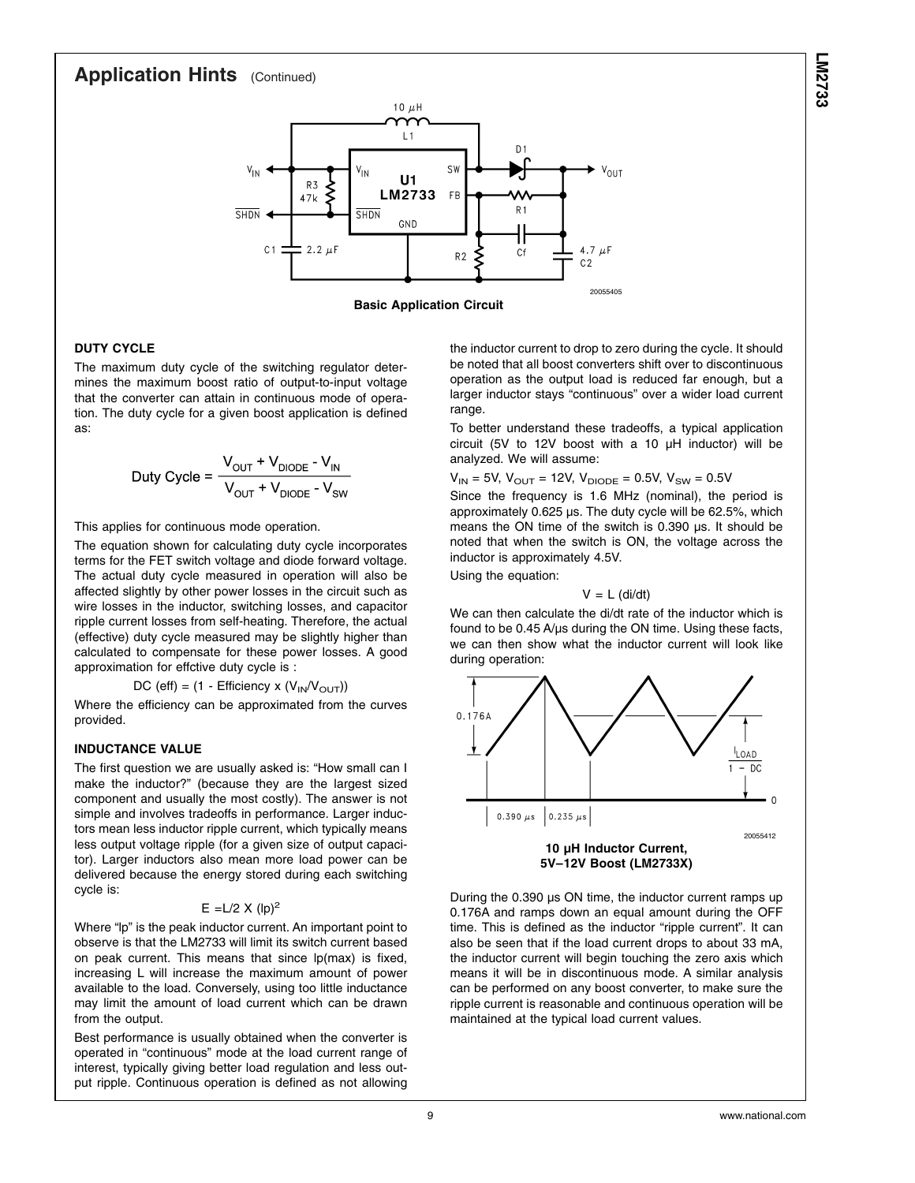## **Application Hints** (Continued)



**Basic Application Circuit**

## **LM2733**

## **DUTY CYCLE**

The maximum duty cycle of the switching regulator determines the maximum boost ratio of output-to-input voltage that the converter can attain in continuous mode of operation. The duty cycle for a given boost application is defined as:

$$
Duty Cycle = \frac{V_{OUT} + V_{DIODE} - V_{IN}}{V_{OUT} + V_{DIODE} - V_{SW}}
$$

This applies for continuous mode operation.

The equation shown for calculating duty cycle incorporates terms for the FET switch voltage and diode forward voltage. The actual duty cycle measured in operation will also be affected slightly by other power losses in the circuit such as wire losses in the inductor, switching losses, and capacitor ripple current losses from self-heating. Therefore, the actual (effective) duty cycle measured may be slightly higher than calculated to compensate for these power losses. A good approximation for effctive duty cycle is :

 $DC$  (eff) = (1 - Efficiency x ( $V_{IN}/V_{OUT}$ ))

Where the efficiency can be approximated from the curves provided.

## **INDUCTANCE VALUE**

The first question we are usually asked is: "How small can I make the inductor?" (because they are the largest sized component and usually the most costly). The answer is not simple and involves tradeoffs in performance. Larger inductors mean less inductor ripple current, which typically means less output voltage ripple (for a given size of output capacitor). Larger inductors also mean more load power can be delivered because the energy stored during each switching cycle is:

#### $E = L/2$  X (lp)<sup>2</sup>

Where "lp" is the peak inductor current. An important point to observe is that the LM2733 will limit its switch current based on peak current. This means that since lp(max) is fixed, increasing L will increase the maximum amount of power available to the load. Conversely, using too little inductance may limit the amount of load current which can be drawn from the output.

Best performance is usually obtained when the converter is operated in "continuous" mode at the load current range of interest, typically giving better load regulation and less output ripple. Continuous operation is defined as not allowing the inductor current to drop to zero during the cycle. It should be noted that all boost converters shift over to discontinuous operation as the output load is reduced far enough, but a larger inductor stays "continuous" over a wider load current range.

To better understand these tradeoffs, a typical application circuit (5V to 12V boost with a 10 µH inductor) will be analyzed. We will assume:

 $V_{IN}$  = 5V,  $V_{OUT}$  = 12V,  $V_{DIODE}$  = 0.5V,  $V_{SW}$  = 0.5V

Since the frequency is 1.6 MHz (nominal), the period is approximately 0.625 µs. The duty cycle will be 62.5%, which means the ON time of the switch is 0.390 µs. It should be noted that when the switch is ON, the voltage across the inductor is approximately 4.5V.

Using the equation:

#### $V = L$  (di/dt)

We can then calculate the di/dt rate of the inductor which is found to be 0.45 A/µs during the ON time. Using these facts, we can then show what the inductor current will look like during operation:



During the 0.390 µs ON time, the inductor current ramps up 0.176A and ramps down an equal amount during the OFF time. This is defined as the inductor "ripple current". It can also be seen that if the load current drops to about 33 mA, the inductor current will begin touching the zero axis which means it will be in discontinuous mode. A similar analysis can be performed on any boost converter, to make sure the ripple current is reasonable and continuous operation will be maintained at the typical load current values.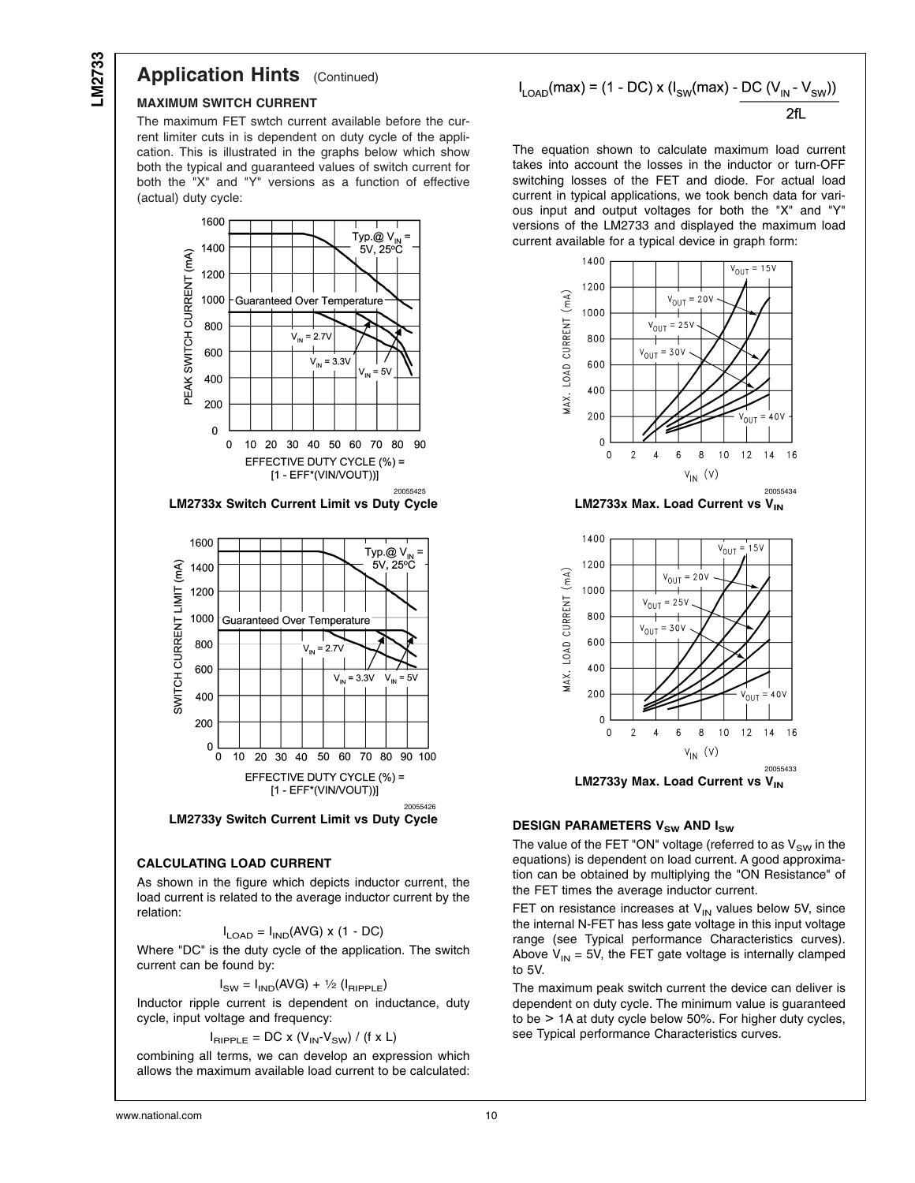## **Application Hints** (Continued)

#### **MAXIMUM SWITCH CURRENT**

The maximum FET swtch current available before the current limiter cuts in is dependent on duty cycle of the application. This is illustrated in the graphs below which show both the typical and guaranteed values of switch current for both the "X" and "Y" versions as a function of effective (actual) duty cycle:



**LM2733x Switch Current Limit vs Duty Cycle**



**LM2733y Switch Current Limit vs Duty Cycle**

#### **CALCULATING LOAD CURRENT**

As shown in the figure which depicts inductor current, the load current is related to the average inductor current by the relation:

$$
I_{\text{LOAD}} = I_{\text{IND}}(\text{AVG}) \times (1 - \text{DC})
$$

Where "DC" is the duty cycle of the application. The switch current can be found by:

#### $I_{SW} = I_{IND}(AVG) + \frac{1}{2} (I_{RIPPLE})$

Inductor ripple current is dependent on inductance, duty cycle, input voltage and frequency:

$$
I_{\text{RIPPLE}} = \text{DC} \times (V_{\text{IN}} \cdot V_{\text{SW}}) / (f \times L)
$$

combining all terms, we can develop an expression which allows the maximum available load current to be calculated:

$$
I_{\text{LOAD}}(\text{max}) = (1 - \text{DC}) \times (I_{\text{SW}}(\text{max}) - \frac{\text{DC}(V_{\text{IN}} - V_{\text{SW}}))}{2\text{fl}}
$$

The equation shown to calculate maximum load current takes into account the losses in the inductor or turn-OFF switching losses of the FET and diode. For actual load current in typical applications, we took bench data for various input and output voltages for both the "X" and "Y" versions of the LM2733 and displayed the maximum load current available for a typical device in graph form:



**LM2733x Max. Load Current vs V<sub>IN</sub>** 



#### **DESIGN PARAMETERS V<sub>SW</sub> AND I<sub>SW</sub>**

The value of the FET "ON" voltage (referred to as  $V_{SW}$  in the equations) is dependent on load current. A good approximation can be obtained by multiplying the "ON Resistance" of the FET times the average inductor current.

FET on resistance increases at  $V_{IN}$  values below 5V, since the internal N-FET has less gate voltage in this input voltage range (see Typical performance Characteristics curves). Above  $V_{IN} = 5V$ , the FET gate voltage is internally clamped to 5V.

The maximum peak switch current the device can deliver is dependent on duty cycle. The minimum value is guaranteed to be > 1A at duty cycle below 50%. For higher duty cycles, see Typical performance Characteristics curves.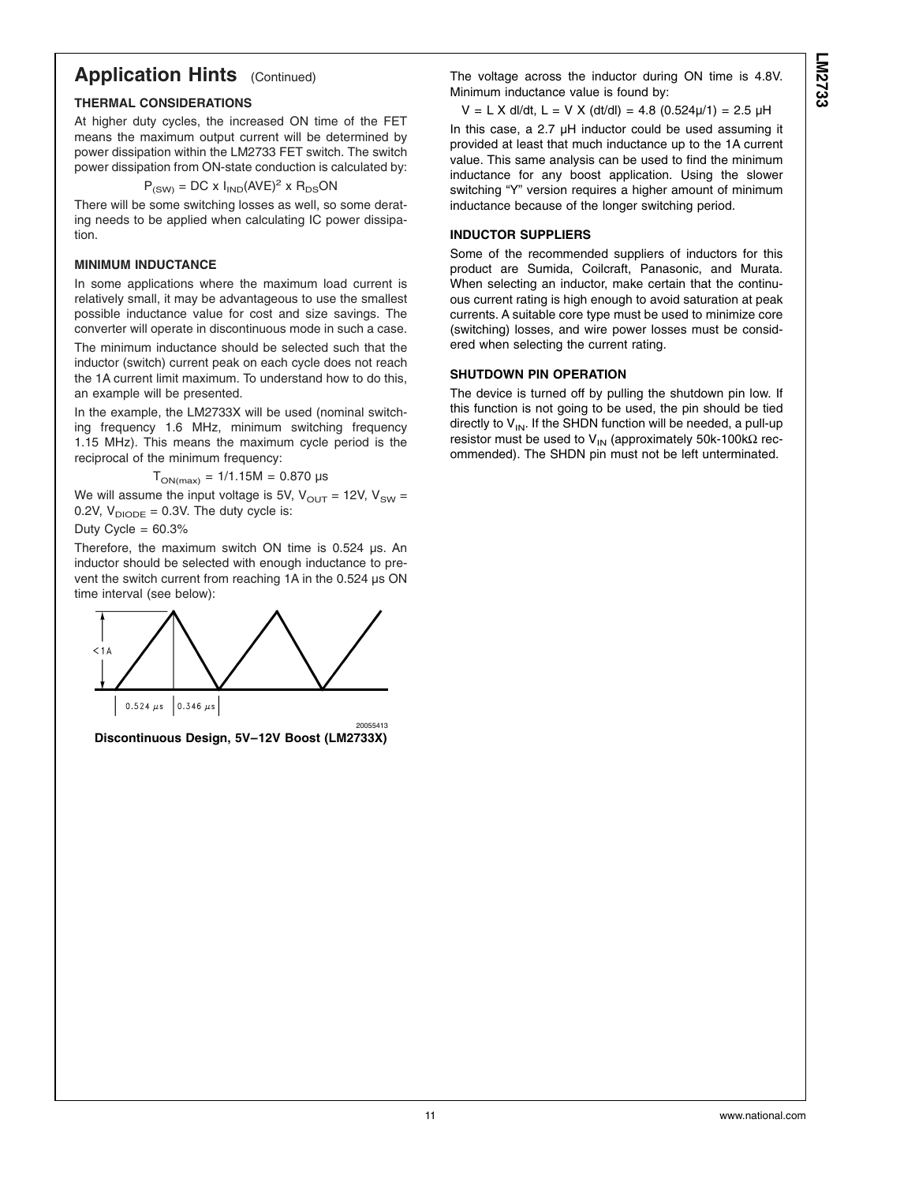## **Application Hints** (Continued)

## **THERMAL CONSIDERATIONS**

At higher duty cycles, the increased ON time of the FET means the maximum output current will be determined by power dissipation within the LM2733 FET switch. The switch power dissipation from ON-state conduction is calculated by:

$$
P_{(SW)} = DC \times I_{IND}(AVE)^2 \times R_{DS}ON
$$

There will be some switching losses as well, so some derating needs to be applied when calculating IC power dissipation.

## **MINIMUM INDUCTANCE**

In some applications where the maximum load current is relatively small, it may be advantageous to use the smallest possible inductance value for cost and size savings. The converter will operate in discontinuous mode in such a case. The minimum inductance should be selected such that the inductor (switch) current peak on each cycle does not reach the 1A current limit maximum. To understand how to do this, an example will be presented.

In the example, the LM2733X will be used (nominal switching frequency 1.6 MHz, minimum switching frequency 1.15 MHz). This means the maximum cycle period is the reciprocal of the minimum frequency:

$$
T_{ON(max)} = 1/1.15M = 0.870 \text{ }\mu\text{s}
$$

We will assume the input voltage is 5V,  $V_{OUT} = 12V$ ,  $V_{SW} =$ 0.2V,  $V_{DIODE} = 0.3V$ . The duty cycle is:

Duty Cycle =  $60.3%$ 

Therefore, the maximum switch ON time is 0.524 µs. An inductor should be selected with enough inductance to prevent the switch current from reaching 1A in the 0.524 µs ON time interval (see below):



**Discontinuous Design, 5V–12V Boost (LM2733X)**

The voltage across the inductor during ON time is 4.8V. Minimum inductance value is found by:

 $V = L X$  dl/dt,  $L = V X$  (dt/dl) = 4.8 (0.524 $\mu$ /1) = 2.5  $\mu$ H

In this case, a 2.7 µH inductor could be used assuming it provided at least that much inductance up to the 1A current value. This same analysis can be used to find the minimum inductance for any boost application. Using the slower switching "Y" version requires a higher amount of minimum inductance because of the longer switching period.

## **INDUCTOR SUPPLIERS**

Some of the recommended suppliers of inductors for this product are Sumida, Coilcraft, Panasonic, and Murata. When selecting an inductor, make certain that the continuous current rating is high enough to avoid saturation at peak currents. A suitable core type must be used to minimize core (switching) losses, and wire power losses must be considered when selecting the current rating.

## **SHUTDOWN PIN OPERATION**

The device is turned off by pulling the shutdown pin low. If this function is not going to be used, the pin should be tied directly to  $V_{IN}$ . If the SHDN function will be needed, a pull-up resistor must be used to V<sub>IN</sub> (approximately 50k-100kΩ recommended). The SHDN pin must not be left unterminated.